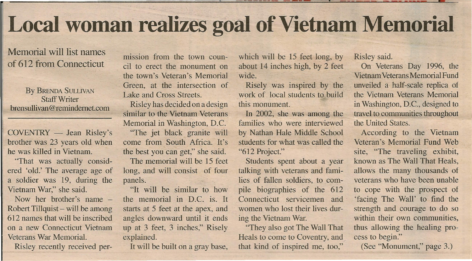## **Local woman realizes goal of Vietnam Memorial**

## Memorial will list names of 612 from Connecticut

By BRENDA SULLIVAN StaffWriter brensullivan@remindernet.com

 $COVENTRY$  - Jean Risley's brother was 23 years old when he was killed in Vietnam.

'That was actually considered 'old.' The average age of a soldier was 19, during the Vietnam War," she said.

Now her brother's name -Robert Tillquist – will be among 612 names that will be inscribed on a new Connecticut Vietnam Veterans War Memorial.

Risley recently received per-

mission from the town council to erect the monument on the town's Veteran's Memorial Green, at the intersection of Lake and Cross Streets.

Risley has decided on a design similar to the Vietnam Veterans Memorial in Washington, D.C.

"The jet black granite will come from South Africa. It's the best you can get," she said.

The memorial will be 15 feet long, and will consist of four panels.

"It will be similar to how the memorial in D.C. is. It starts at 5 feet at the apex, and angles downward until it ends up at 3 feet, 3 inches," Risely explained.

It will be built on a gray base,

which will be 15 feet long, by about 14 inches high, by 2 feet wide.

Risely was inspired by the work of local students to build this monument.

In 2002, she was among the families who were interviewed by Nathan Hale Middle School students for what was called the "612 Project."

Students spent about a year talking with veterans and families of fallen soldiers, to compile biographies of the 612 Connecticut servicemen and women who lost their lives during the Vietnam War.

"They also got The Wall That Heals to come to Coventry, and that kind of inspired me, too,"

Risley said.

On Veterans Day 1996, the VietnamVeteransMemorialFund unveiled a half-scale replica of the Vietnam Veterans Memorial in Washington, D.C., designed to travel to communities throughout the United States.

According to the Vietnam Veteran's Memorial Fund Web site, "The traveling exhibit, known as The Wall That Heals, allows the many thousands of veterans who have been unable to cope with the prospect of 'facing The Wall' to find the strength and courage to do so within their own communities, thus allowing the healing process to begin."

(See "Monument," page 3.)